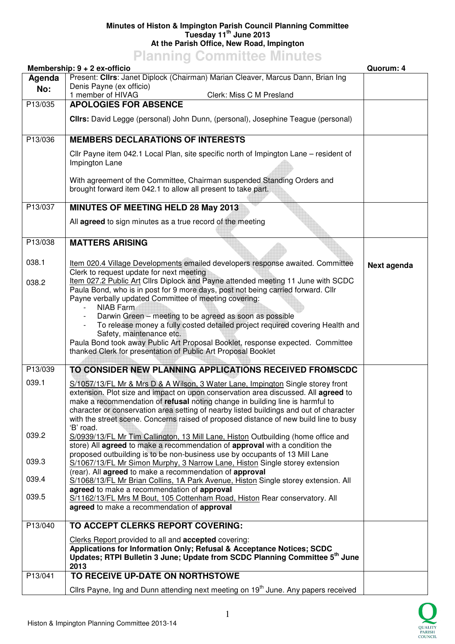## **Minutes of Histon & Impington Parish Council Planning Committee Tuesday 11th June 2013 At the Parish Office, New Road, Impington**

**Planning Committee Minutes** 

|         | Membership: $9 + 2$ ex-officio                                                                                                                                                                                                                                                                                                                                                                                                            | Quorum: 4   |
|---------|-------------------------------------------------------------------------------------------------------------------------------------------------------------------------------------------------------------------------------------------------------------------------------------------------------------------------------------------------------------------------------------------------------------------------------------------|-------------|
| Agenda  | Present: Clirs: Janet Diplock (Chairman) Marian Cleaver, Marcus Dann, Brian Ing                                                                                                                                                                                                                                                                                                                                                           |             |
| No:     | Denis Payne (ex officio)                                                                                                                                                                                                                                                                                                                                                                                                                  |             |
|         | 1 member of HIVAG<br>Clerk: Miss C M Presland                                                                                                                                                                                                                                                                                                                                                                                             |             |
| P13/035 | <b>APOLOGIES FOR ABSENCE</b>                                                                                                                                                                                                                                                                                                                                                                                                              |             |
|         | Clirs: David Legge (personal) John Dunn, (personal), Josephine Teague (personal)                                                                                                                                                                                                                                                                                                                                                          |             |
| P13/036 | <b>MEMBERS DECLARATIONS OF INTERESTS</b>                                                                                                                                                                                                                                                                                                                                                                                                  |             |
|         | Cllr Payne item 042.1 Local Plan, site specific north of Impington Lane – resident of<br>Impington Lane                                                                                                                                                                                                                                                                                                                                   |             |
|         | With agreement of the Committee, Chairman suspended Standing Orders and<br>brought forward item 042.1 to allow all present to take part.                                                                                                                                                                                                                                                                                                  |             |
| P13/037 | <b>MINUTES OF MEETING HELD 28 May 2013</b>                                                                                                                                                                                                                                                                                                                                                                                                |             |
|         | All agreed to sign minutes as a true record of the meeting                                                                                                                                                                                                                                                                                                                                                                                |             |
| P13/038 | <b>MATTERS ARISING</b>                                                                                                                                                                                                                                                                                                                                                                                                                    |             |
| 038.1   | Item 020.4 Village Developments emailed developers response awaited. Committee<br>Clerk to request update for next meeting                                                                                                                                                                                                                                                                                                                | Next agenda |
| 038.2   | Item 027.2 Public Art Cllrs Diplock and Payne attended meeting 11 June with SCDC<br>Paula Bond, who is in post for 9 more days, post not being carried forward. Cllr<br>Payne verbally updated Committee of meeting covering:                                                                                                                                                                                                             |             |
|         | NIAB Farm<br>Darwin Green – meeting to be agreed as soon as possible                                                                                                                                                                                                                                                                                                                                                                      |             |
|         | To release money a fully costed detailed project required covering Health and<br>Safety, maintenance etc.                                                                                                                                                                                                                                                                                                                                 |             |
|         | Paula Bond took away Public Art Proposal Booklet, response expected. Committee<br>thanked Clerk for presentation of Public Art Proposal Booklet                                                                                                                                                                                                                                                                                           |             |
| P13/039 | TO CONSIDER NEW PLANNING APPLICATIONS RECEIVED FROMSCDC                                                                                                                                                                                                                                                                                                                                                                                   |             |
| 039.1   | S/1057/13/FL Mr & Mrs D & A Wilson, 3 Water Lane, Impington Single storey front<br>extension. Plot size and impact on upon conservation area discussed. All agreed to<br>make a recommendation of refusal noting change in building line is harmful to<br>character or conservation area setting of nearby listed buildings and out of character<br>with the street scene. Concerns raised of proposed distance of new build line to busy |             |
| 039.2   | 'B' road.<br>S/0939/13/FL Mr Tim Callington, 13 Mill Lane, Histon Outbuilding (home office and                                                                                                                                                                                                                                                                                                                                            |             |
| 039.3   | store) All agreed to make a recommendation of approval with a condition the<br>proposed outbuilding is to be non-business use by occupants of 13 Mill Lane<br>S/1067/13/FL Mr Simon Murphy, 3 Narrow Lane, Histon Single storey extension                                                                                                                                                                                                 |             |
|         | (rear). All agreed to make a recommendation of approval                                                                                                                                                                                                                                                                                                                                                                                   |             |
| 039.4   | S/1068/13/FL Mr Brian Collins, 1A Park Avenue, Histon Single storey extension. All<br>agreed to make a recommendation of approval                                                                                                                                                                                                                                                                                                         |             |
| 039.5   | S/1162/13/FL Mrs M Bout, 105 Cottenham Road, Histon Rear conservatory. All<br>agreed to make a recommendation of approval                                                                                                                                                                                                                                                                                                                 |             |
| P13/040 | TO ACCEPT CLERKS REPORT COVERING:                                                                                                                                                                                                                                                                                                                                                                                                         |             |
|         | Clerks Report provided to all and <b>accepted</b> covering:                                                                                                                                                                                                                                                                                                                                                                               |             |
|         | Applications for Information Only; Refusal & Acceptance Notices; SCDC<br>Updates; RTPI Bulletin 3 June; Update from SCDC Planning Committee 5 <sup>th</sup> June<br>2013                                                                                                                                                                                                                                                                  |             |
| P13/041 | TO RECEIVE UP-DATE ON NORTHSTOWE                                                                                                                                                                                                                                                                                                                                                                                                          |             |
|         | Cllrs Payne, Ing and Dunn attending next meeting on 19 <sup>th</sup> June. Any papers received                                                                                                                                                                                                                                                                                                                                            |             |